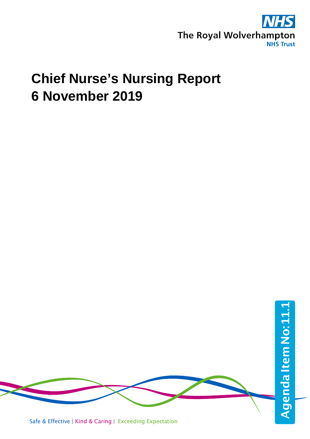

# **Chief Nurse's Nursing Report 6 November 2019**

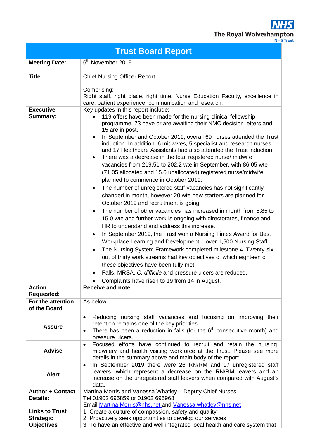**NHS** The Royal Wolverhampton

|                                                                | <b>Trust Board Report</b>                                                                                                                                                                                                                                                                                                                                                                                                                                                                                                                                                                                                                                                                                                                                                                                                                                                                                                                                                                                                                                                                                                                                                                                                                                                                                                                                                                                                                                                                                              |
|----------------------------------------------------------------|------------------------------------------------------------------------------------------------------------------------------------------------------------------------------------------------------------------------------------------------------------------------------------------------------------------------------------------------------------------------------------------------------------------------------------------------------------------------------------------------------------------------------------------------------------------------------------------------------------------------------------------------------------------------------------------------------------------------------------------------------------------------------------------------------------------------------------------------------------------------------------------------------------------------------------------------------------------------------------------------------------------------------------------------------------------------------------------------------------------------------------------------------------------------------------------------------------------------------------------------------------------------------------------------------------------------------------------------------------------------------------------------------------------------------------------------------------------------------------------------------------------------|
| <b>Meeting Date:</b>                                           | 6 <sup>th</sup> November 2019                                                                                                                                                                                                                                                                                                                                                                                                                                                                                                                                                                                                                                                                                                                                                                                                                                                                                                                                                                                                                                                                                                                                                                                                                                                                                                                                                                                                                                                                                          |
| Title:<br><b>Executive</b>                                     | <b>Chief Nursing Officer Report</b><br>Comprising:<br>Right staff, right place, right time, Nurse Education Faculty, excellence in<br>care, patient experience, communication and research.<br>Key updates in this report include:                                                                                                                                                                                                                                                                                                                                                                                                                                                                                                                                                                                                                                                                                                                                                                                                                                                                                                                                                                                                                                                                                                                                                                                                                                                                                     |
| <b>Summary:</b>                                                | 119 offers have been made for the nursing clinical fellowship<br>programme. 73 have or are awaiting their NMC decision letters and<br>15 are in post.<br>In September and October 2019, overall 69 nurses attended the Trust<br>$\bullet$<br>induction. In addition, 6 midwives, 5 specialist and research nurses<br>and 17 Healthcare Assistants had also attended the Trust induction.<br>There was a decrease in the total registered nurse/ midwife<br>$\bullet$<br>vacancies from 219.51 to 202.2 wte in September, with 86.05 wte<br>(71.05 allocated and 15.0 unallocated) registered nurse/midwife<br>planned to commence in October 2019.<br>The number of unregistered staff vacancies has not significantly<br>$\bullet$<br>changed in month, however 20 wte new starters are planned for<br>October 2019 and recruitment is going.<br>The number of other vacancies has increased in month from 5.85 to<br>$\bullet$<br>15.0 wte and further work is ongoing with directorates, finance and<br>HR to understand and address this increase.<br>In September 2019, the Trust won a Nursing Times Award for Best<br>$\bullet$<br>Workplace Learning and Development - over 1,500 Nursing Staff.<br>The Nursing System Framework completed milestone 4. Twenty-six<br>$\bullet$<br>out of thirty work streams had key objectives of which eighteen of<br>these objectives have been fully met.<br>Falls, MRSA, C. difficile and pressure ulcers are reduced.<br>Complaints have risen to 19 from 14 in August. |
| <b>Action</b><br><b>Requested:</b>                             | Receive and note.                                                                                                                                                                                                                                                                                                                                                                                                                                                                                                                                                                                                                                                                                                                                                                                                                                                                                                                                                                                                                                                                                                                                                                                                                                                                                                                                                                                                                                                                                                      |
| For the attention<br>of the Board                              | As below                                                                                                                                                                                                                                                                                                                                                                                                                                                                                                                                                                                                                                                                                                                                                                                                                                                                                                                                                                                                                                                                                                                                                                                                                                                                                                                                                                                                                                                                                                               |
| <b>Assure</b>                                                  | Reducing nursing staff vacancies and focusing on improving their<br>$\bullet$<br>retention remains one of the key priorities.<br>There has been a reduction in falls (for the $6th$ consecutive month) and<br>$\bullet$<br>pressure ulcers.                                                                                                                                                                                                                                                                                                                                                                                                                                                                                                                                                                                                                                                                                                                                                                                                                                                                                                                                                                                                                                                                                                                                                                                                                                                                            |
| <b>Advise</b>                                                  | Focused efforts have continued to recruit and retain the nursing,<br>$\bullet$<br>midwifery and health visiting workforce at the Trust. Please see more<br>details in the summary above and main body of the report.                                                                                                                                                                                                                                                                                                                                                                                                                                                                                                                                                                                                                                                                                                                                                                                                                                                                                                                                                                                                                                                                                                                                                                                                                                                                                                   |
| <b>Alert</b>                                                   | In September 2019 there were 26 RN/RM and 17 unregistered staff<br>$\bullet$<br>leavers, which represent a decrease on the RN/RM leavers and an<br>increase on the unregistered staff leavers when compared with August's<br>data.                                                                                                                                                                                                                                                                                                                                                                                                                                                                                                                                                                                                                                                                                                                                                                                                                                                                                                                                                                                                                                                                                                                                                                                                                                                                                     |
| <b>Author + Contact</b><br><b>Details:</b>                     | Martina Morris and Vanessa Whatley - Deputy Chief Nurses<br>Tel 01902 695859 or 01902 695968<br>Email Martina. Morris@nhs.net and Vanessa.whatley@nhs.net                                                                                                                                                                                                                                                                                                                                                                                                                                                                                                                                                                                                                                                                                                                                                                                                                                                                                                                                                                                                                                                                                                                                                                                                                                                                                                                                                              |
| <b>Links to Trust</b><br><b>Strategic</b><br><b>Objectives</b> | 1. Create a culture of compassion, safety and quality<br>2. Proactively seek opportunities to develop our services<br>3. To have an effective and well integrated local health and care system that                                                                                                                                                                                                                                                                                                                                                                                                                                                                                                                                                                                                                                                                                                                                                                                                                                                                                                                                                                                                                                                                                                                                                                                                                                                                                                                    |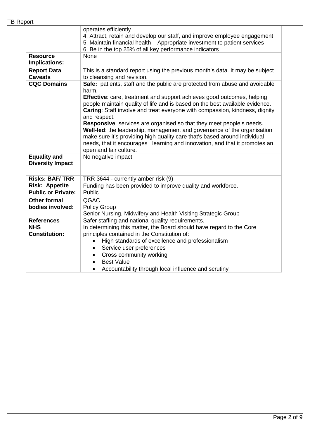|                                           | operates efficiently<br>4. Attract, retain and develop our staff, and improve employee engagement<br>5. Maintain financial health – Appropriate investment to patient services<br>6. Be in the top 25% of all key performance indicators                                                                                                                                                                                                                                                                                                                                                                                                                                                                     |
|-------------------------------------------|--------------------------------------------------------------------------------------------------------------------------------------------------------------------------------------------------------------------------------------------------------------------------------------------------------------------------------------------------------------------------------------------------------------------------------------------------------------------------------------------------------------------------------------------------------------------------------------------------------------------------------------------------------------------------------------------------------------|
| <b>Resource</b><br>Implications:          | None                                                                                                                                                                                                                                                                                                                                                                                                                                                                                                                                                                                                                                                                                                         |
| <b>Report Data</b><br><b>Caveats</b>      | This is a standard report using the previous month's data. It may be subject<br>to cleansing and revision.                                                                                                                                                                                                                                                                                                                                                                                                                                                                                                                                                                                                   |
| <b>CQC Domains</b><br><b>Equality and</b> | Safe: patients, staff and the public are protected from abuse and avoidable<br>harm.<br>Effective: care, treatment and support achieves good outcomes, helping<br>people maintain quality of life and is based on the best available evidence.<br>Caring: Staff involve and treat everyone with compassion, kindness, dignity<br>and respect.<br>Responsive: services are organised so that they meet people's needs.<br>Well-led: the leadership, management and governance of the organisation<br>make sure it's providing high-quality care that's based around individual<br>needs, that it encourages learning and innovation, and that it promotes an<br>open and fair culture.<br>No negative impact. |
| <b>Diversity Impact</b>                   |                                                                                                                                                                                                                                                                                                                                                                                                                                                                                                                                                                                                                                                                                                              |
| <b>Risks: BAF/TRR</b>                     | TRR 3644 - currently amber risk (9)                                                                                                                                                                                                                                                                                                                                                                                                                                                                                                                                                                                                                                                                          |
| <b>Risk: Appetite</b>                     | Funding has been provided to improve quality and workforce.                                                                                                                                                                                                                                                                                                                                                                                                                                                                                                                                                                                                                                                  |
| <b>Public or Private:</b>                 | Public                                                                                                                                                                                                                                                                                                                                                                                                                                                                                                                                                                                                                                                                                                       |
| <b>Other formal</b><br>bodies involved:   | QGAC<br><b>Policy Group</b><br>Senior Nursing, Midwifery and Health Visiting Strategic Group                                                                                                                                                                                                                                                                                                                                                                                                                                                                                                                                                                                                                 |
| <b>References</b>                         | Safer staffing and national quality requirements.                                                                                                                                                                                                                                                                                                                                                                                                                                                                                                                                                                                                                                                            |
| <b>NHS</b><br><b>Constitution:</b>        | In determining this matter, the Board should have regard to the Core<br>principles contained in the Constitution of:<br>High standards of excellence and professionalism<br>$\bullet$<br>Service user preferences<br>Cross community working<br>$\bullet$<br><b>Best Value</b><br>Accountability through local influence and scrutiny                                                                                                                                                                                                                                                                                                                                                                        |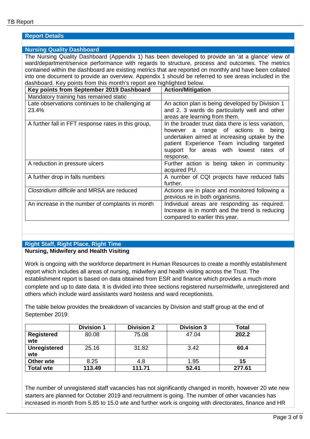#### **Report Details**

#### **Nursing Quality Dashboard**

The Nursing Quality Dashboard (Appendix 1) has been developed to provide an 'at a glance' view of ward/department/service performance with regards to structure, process and outcomes. The metrics contained within the dashboard are existing metrics that are reported on monthly and have been collated into one document to provide an overview. Appendix 1 should be referred to see areas included in the dashboard. Key points from this month's report are highlighted below.

| Key points from September 2019 Dashboard                  | <b>Action/Mitigation</b>                                                                                                                                                                                                                          |
|-----------------------------------------------------------|---------------------------------------------------------------------------------------------------------------------------------------------------------------------------------------------------------------------------------------------------|
| Mandatory training has remained static                    |                                                                                                                                                                                                                                                   |
| Late observations continues to be challenging at<br>23.4% | An action plan is being developed by Division 1<br>and 2. 3 wards do particularly well and other<br>areas are learning from them.                                                                                                                 |
| A further fall in FFT response rates in this group,       | In the broader trust data there is less variation,<br>however a range of actions is<br>being<br>undertaken aimed at increasing uptake by the<br>patient Experience Team including targeted<br>support for areas with lowest rates of<br>response. |
| A reduction in pressure ulcers                            | Further action is being taken in community<br>acquired PU.                                                                                                                                                                                        |
| A further drop in falls numbers                           | A number of CQI projects have reduced falls<br>further.                                                                                                                                                                                           |
| Clostridium difficile and MRSA are reduced                | Actions are in place and monitored following a<br>previous re in both organisms.                                                                                                                                                                  |
| An increase in the number of complaints in month          | Individual areas are responding as required.<br>Increase is in month and the trend is reducing<br>compared to earlier this year.                                                                                                                  |

#### **Right Staff, Right Place, Right Time Nursing, Midwifery and Health Visiting**

Work is ongoing with the workforce department in Human Resources to create a monthly establishment report which includes all areas of nursing, midwifery and health visiting across the Trust. The establishment report is based on data obtained from ESR and finance which provides a much more complete and up to date data. It is divided into three sections registered nurse/midwife, unregistered and others which include ward assistants ward hostess and ward receptionists.

The table below provides the breakdown of vacancies by Division and staff group at the end of September 2019:

|                     | <b>Division 1</b> | <b>Division 2</b> | <b>Division 3</b> | <b>Total</b> |
|---------------------|-------------------|-------------------|-------------------|--------------|
| <b>Registered</b>   | 80.08             | 75.08             | 47.04             | 202.2        |
| wte                 |                   |                   |                   |              |
| <b>Unregistered</b> | 25.16             | 31.82             | 3.42              | 60.4         |
| wte                 |                   |                   |                   |              |
| Other wte           | 8.25              | 4.8               | 1.95              | 15           |
| Total wte           | 113.49            | 111.71            | 52.41             | 277.61       |

The number of unregistered staff vacancies has not significantly changed in month, however 20 wte new starters are planned for October 2019 and recruitment is going. The number of other vacancies has increased in month from 5.85 to 15.0 wte and further work is ongoing with directorates, finance and HR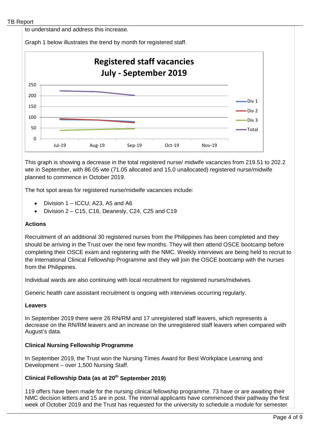to understand and address this increase.

Graph 1 below illustrates the trend by month for registered staff.



This graph is showing a decrease in the total registered nurse/ midwife vacancies from 219.51 to 202.2 wte in September, with 86.05 wte (71.05 allocated and 15.0 unallocated) registered nurse/midwife planned to commence in October 2019.

The hot spot areas for registered nurse/midwife vacancies include:

- Division 1 ICCU, A23, A5 and A6
- Division 2 C15, C16, Deanesly, C24, C25 and C19

#### **Actions**

Recruitment of an additional 30 registered nurses from the Philippines has been completed and they should be arriving in the Trust over the next few months. They will then attend OSCE bootcamp before completing their OSCE exam and registering with the NMC. Weekly interviews are being held to recruit to the International Clinical Fellowship Programme and they will join the OSCE bootcamp with the nurses from the Philippines.

Individual wards are also continuing with local recruitment for registered nurses/midwives.

Generic health care assistant recruitment is ongoing with interviews occurring regularly.

#### **Leavers**

In September 2019 there were 26 RN/RM and 17 unregistered staff leavers, which represents a decrease on the RN/RM leavers and an increase on the unregistered staff leavers when compared with August's data.

## **Clinical Nursing Fellowship Programme**

In September 2019, the Trust won the Nursing Times Award for Best Workplace Learning and Development – over 1,500 Nursing Staff.

## **Clinical Fellowship Data (as at 20th September 2019)**

119 offers have been made for the nursing clinical fellowship programme. 73 have or are awaiting their NMC decision letters and 15 are in post. The internal applicants have commenced their pathway the first week of October 2019 and the Trust has requested for the university to schedule a module for semester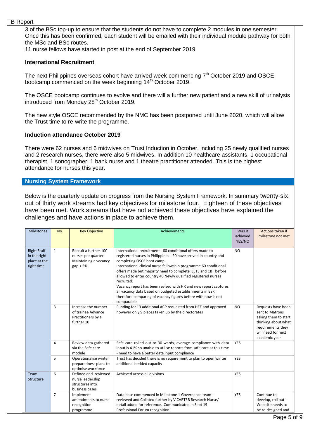#### TB Report

3 of the BSc top-up to ensure that the students do not have to complete 2 modules in one semester. Once this has been confirmed, each student will be emailed with their individual module pathway for both the MSc and BSc routes.

11 nurse fellows have started in post at the end of September 2019.

#### **International Recruitment**

The next Philippines overseas cohort have arrived week commencing  $7<sup>th</sup>$  October 2019 and OSCE bootcamp commenced on the week beginning 14<sup>th</sup> October 2019.

The OSCE bootcamp continues to evolve and there will a further new patient and a new skill of urinalysis introduced from Monday 28<sup>th</sup> October 2019.

The new style OSCE recommended by the NMC has been postponed until June 2020, which will allow the Trust time to re-write the programme.

#### **Induction attendance October 2019**

There were 62 nurses and 6 midwives on Trust Induction in October, including 25 newly qualified nurses and 2 research nurses, there were also 5 midwives. In addition 10 healthcare assistants, 1 occupational therapist, 1 sonographer, 1 bank nurse and 1 theatre practitioner attended. This is the highest attendance for nurses this year.

#### **Nursing System Framework**

Below is the quarterly update on progress from the Nursing System Framework. In summary twenty-six out of thirty work streams had key objectives for milestone four. Eighteen of these objectives have been met. Work streams that have not achieved these objectives have explained the challenges and have actions in place to achieve them.

| <b>Milestones</b>                                                | No.            | <b>Key Objective</b>                                                                   | Achievements                                                                                                                                                                                                                                                                                                                                                                                                                                                                                                                                                                                     | Was it<br>achieved<br>YES/NO | Actions taken if<br>milestone not met                                                                                                            |
|------------------------------------------------------------------|----------------|----------------------------------------------------------------------------------------|--------------------------------------------------------------------------------------------------------------------------------------------------------------------------------------------------------------------------------------------------------------------------------------------------------------------------------------------------------------------------------------------------------------------------------------------------------------------------------------------------------------------------------------------------------------------------------------------------|------------------------------|--------------------------------------------------------------------------------------------------------------------------------------------------|
| <b>Right Staff</b><br>in the right<br>place at the<br>right time | $\mathbf{1}$   | Recruit a further 100<br>nurses per quarter.<br>Maintaining a vacancy<br>$gap < 5\%$ . | International recruitment - 60 conditional offers made to<br>registered nurses in Philippines - 20 have arrived in country and<br>completing OSCE boot camp.<br>International clinical nurse fellowship programme 60 conditional<br>offers made but majority need to complete ILETS and CBT before<br>allowed to enter country 40 Newly qualified registered nurses<br>recruited.<br>Vacancy report has been revised with HR and new report captures<br>all vacancy data based on budgeted establishments in ESR,<br>therefore comparing of vacancy figures before with now is not<br>comparable | <b>NO</b>                    |                                                                                                                                                  |
|                                                                  | 3              | Increase the number<br>of trainee Advance<br>Practitioners by a<br>further 10          | Funding for 13 additional ACP requested from HEE and approved<br>however only 9 places taken up by the directorates                                                                                                                                                                                                                                                                                                                                                                                                                                                                              | <b>NO</b>                    | Requests have been<br>sent to Matrons<br>asking them to start<br>thinking about what<br>requirements they<br>will need for next<br>academic year |
|                                                                  | 4              | Review data gathered<br>via the Safe care<br>module                                    | Safe care rolled out to 30 wards, average compliance with data<br>input is 41% so unable to utilise reports from safe care at this time<br>- need to have a better data input compliance                                                                                                                                                                                                                                                                                                                                                                                                         | <b>YES</b>                   |                                                                                                                                                  |
|                                                                  | 5              | Operationalise winter<br>preparedness plans to<br>optimise workforce                   | Trust has decided there is no requirement to plan to open winter<br>additional bedded capacity                                                                                                                                                                                                                                                                                                                                                                                                                                                                                                   | <b>YES</b>                   |                                                                                                                                                  |
| Team<br><b>Structure</b>                                         | 6              | Defined and reviewed<br>nurse leadership<br>structures into<br>business cases          | Achieved across all divisions                                                                                                                                                                                                                                                                                                                                                                                                                                                                                                                                                                    | YES                          |                                                                                                                                                  |
|                                                                  | $\overline{7}$ | Implement<br>amendments to nurse<br>recognition<br>programme                           | Data base commenced in Milestone 1 Governance team -<br>reviewed and Collated further by V CARTER Research Nurse/<br>detail added for reference. Communicated in Sept 19<br>Professional Forum recognition                                                                                                                                                                                                                                                                                                                                                                                       | YES                          | Continue to<br>develop, roll out -<br>Web site needs to<br>be re-designed and                                                                    |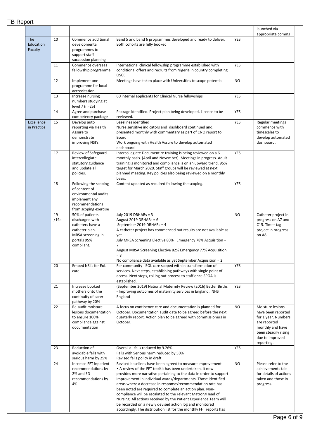# TB Report

|                             |            |                                                                                                                             |                                                                                                                                                                                                                                                                                                                                                                                                                                                                                                                                                                                                                                                               |            | launched via<br>appropriate comms                                                                                                                          |
|-----------------------------|------------|-----------------------------------------------------------------------------------------------------------------------------|---------------------------------------------------------------------------------------------------------------------------------------------------------------------------------------------------------------------------------------------------------------------------------------------------------------------------------------------------------------------------------------------------------------------------------------------------------------------------------------------------------------------------------------------------------------------------------------------------------------------------------------------------------------|------------|------------------------------------------------------------------------------------------------------------------------------------------------------------|
| The<br>Education<br>Faculty | 10         | Commence additional<br>developmental<br>programmes to<br>support staff<br>succession planning                               | Band 5 and band 6 programmes developed and ready to deliver.<br>Both cohorts are fully booked                                                                                                                                                                                                                                                                                                                                                                                                                                                                                                                                                                 | YES        |                                                                                                                                                            |
|                             | 11         | Commence overseas<br>fellowship programme                                                                                   | International clinical fellowship programme established with<br>conditional offers and recruits from Nigeria in country completing<br><b>OSCE</b>                                                                                                                                                                                                                                                                                                                                                                                                                                                                                                             | YES        |                                                                                                                                                            |
|                             | 12         | Implement one<br>programme for local<br>accreditation                                                                       | Meetings have taken place with Universities to scope potential                                                                                                                                                                                                                                                                                                                                                                                                                                                                                                                                                                                                | <b>NO</b>  |                                                                                                                                                            |
|                             | 13         | Increase nursing<br>numbers studying at<br>level 7 (n=25)                                                                   | 60 internal applicants for Clinical Nurse fellowships                                                                                                                                                                                                                                                                                                                                                                                                                                                                                                                                                                                                         | <b>YES</b> |                                                                                                                                                            |
|                             | 14         | Agree and purchase<br>competency package                                                                                    | Package identified. Project plan being developed. Licence to be<br>reviewed.                                                                                                                                                                                                                                                                                                                                                                                                                                                                                                                                                                                  | YES        |                                                                                                                                                            |
| Excellence<br>in Practice   | 15         | Develop auto<br>reporting via Health<br>Assure to<br>demonstrate<br>improving NSI's                                         | <b>Baselines identified</b><br>Nurse sensitive indicators and dashboard continued and,<br>presented monthly with commentary as part of CNO report to<br>Board<br>Work ongoing with Health Assure to develop automated<br>dashboard.                                                                                                                                                                                                                                                                                                                                                                                                                           | YES        | Regular meetings<br>commence with<br>timescales to<br>develop automated<br>dashboard.                                                                      |
|                             | 17         | Review of Safeguard<br>intercollegiate<br>statutory guidance<br>and update all<br>policies.                                 | Intercollegiate Document re training is being reviewed on a 6<br>monthly basis. (April and November). Meetings in progress. Adult<br>training is monitored and compliance is on an upward trend. 95%<br>target for March 2020. Staff groups will be reviewed at next<br>planned meeting. Key policies also being reviewed on a monthly<br>basis.                                                                                                                                                                                                                                                                                                              | YES        |                                                                                                                                                            |
|                             | 18         | Following the scoping<br>of content of<br>environmental audits<br>implement any<br>recommendations<br>from scoping exercise | Content updated as required following the scoping.                                                                                                                                                                                                                                                                                                                                                                                                                                                                                                                                                                                                            | YES        |                                                                                                                                                            |
|                             | 19<br>/19a | 50% of patients<br>discharged with<br>catheters have a<br>catheter plan.<br>MRSA screening in<br>portals 95%<br>compliant.  | July 2019 DRHABs = 3<br>August 2019 DRHABs = $6$<br>September 2019 DRHABs = 4<br>A catheter project has commenced but results are not available as<br>yet<br>July MRSA Screening Elective 80% Emergency 78% Acquisition =<br>$\overline{7}$<br>August MRSA Screening Elective 82% Emergency 77% Acquisition<br>$= 8$<br>No compliance data available as yet September Acquisition = 2                                                                                                                                                                                                                                                                         | <b>NO</b>  | Catheter project in<br>progress on A7 and<br>C15. Timer tag<br>project in progress<br>on A8                                                                |
|                             | 20         | Embed NSI's for EoL<br>care                                                                                                 | For community - EOL care scoped with in transformation of<br>services. Next steps, establishing pathways with single point of<br>access. Next steps, rolling out process to staff once SPOA is<br>established.                                                                                                                                                                                                                                                                                                                                                                                                                                                | YES        |                                                                                                                                                            |
|                             | 21         | Increase booked<br>mothers onto the<br>continuity of carer<br>pathway by 20%                                                | (September 2019) National Maternity Review (2016) Better Births<br>- Improving outcomes of maternity services in England. NHS<br>England                                                                                                                                                                                                                                                                                                                                                                                                                                                                                                                      | YES        |                                                                                                                                                            |
|                             | 22         | Re-audit moisture<br>lesions documentation<br>to ensure 100%<br>compliance against<br>documentation                         | A focus on continence care and documentation is planned for<br>October. Documentation audit date to be agreed before the next<br>quarterly report. Action plan to be agreed with commissioners in<br>October.                                                                                                                                                                                                                                                                                                                                                                                                                                                 | <b>NO</b>  | Moisture lesions<br>have been reported<br>for 1 year. Numbers<br>are reported<br>monthly and have<br>been steadily rising<br>due to improved<br>reporting. |
|                             | 23         | Reduction of<br>avoidable falls with<br>serious harm by 25%                                                                 | Overall all falls reduced by 9.26%<br>Falls with Serious harm reduced by 50%<br>Revised falls policy in draft                                                                                                                                                                                                                                                                                                                                                                                                                                                                                                                                                 | YES        |                                                                                                                                                            |
|                             | 24         | Increase FFT inpatient<br>recommendations by<br>2% and ED<br>recommendations by<br>4%                                       | Revised baselines have been agreed to measure improvement.<br>• A review of the FFT toolkit has been undertaken. It now<br>provides more narrative pertaining to the data in order to support<br>improvement in individual wards/departments. Those identified<br>areas where a decrease in response/recommendation rate has<br>been noted are required to complete an action plan. Non-<br>compliance will be escalated to the relevant Matron/Head of<br>Nursing. All actions received by the Patient Experience Team will<br>be recorded on a newly devised action log and monitored<br>accordingly. The distribution list for the monthly FFT reports has | <b>NO</b>  | Please refer to the<br>achievements tab<br>for details of actions<br>taken and those in<br>progress.                                                       |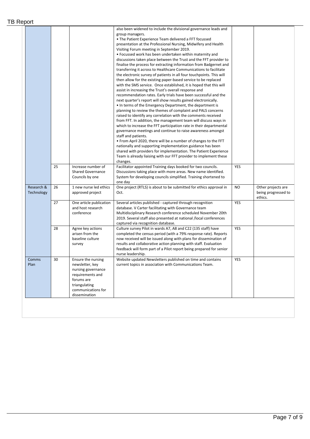|               |          |                                                                                                                                                       | also been widened to include the divisional governance leads and<br>group managers.<br>• The Patient Experience Team delivered a FFT focussed<br>presentation at the Professional Nursing, Midwifery and Health<br>Visiting Forum meeting in September 2019.<br>• Focussed work has been undertaken within maternity and<br>discussions taken place between the Trust and the FFT provider to<br>finalise the process for extracting information from Badgernet and<br>transferring it across to Healthcare Communications to facilitate<br>the electronic survey of patients in all four touchpoints. This will<br>then allow for the existing paper-based service to be replaced<br>with the SMS service. Once established, it is hoped that this will<br>assist in increasing the Trust's overall response and<br>recommendation rates. Early trials have been successful and the<br>next quarter's report will show results gained electronically.<br>• In terms of the Emergency Department, the department is<br>planning to review the themes of complaint and PALS concerns<br>raised to identify any correlation with the comments received<br>from FFT. In addition, the management team will discuss ways in<br>which to increase the FFT participation rate in their departmental<br>governance meetings and continue to raise awareness amongst<br>staff and patients.<br>. From April 2020, there will be a number of changes to the FFT<br>nationally and supporting implementation guidance has been<br>shared with providers for implementation. The Patient Experience<br>Team is already liaising with our FFT provider to implement these<br>changes. |                  |                                |
|---------------|----------|-------------------------------------------------------------------------------------------------------------------------------------------------------|---------------------------------------------------------------------------------------------------------------------------------------------------------------------------------------------------------------------------------------------------------------------------------------------------------------------------------------------------------------------------------------------------------------------------------------------------------------------------------------------------------------------------------------------------------------------------------------------------------------------------------------------------------------------------------------------------------------------------------------------------------------------------------------------------------------------------------------------------------------------------------------------------------------------------------------------------------------------------------------------------------------------------------------------------------------------------------------------------------------------------------------------------------------------------------------------------------------------------------------------------------------------------------------------------------------------------------------------------------------------------------------------------------------------------------------------------------------------------------------------------------------------------------------------------------------------------------------------------------------------------------------------------------------------------|------------------|--------------------------------|
| Research &    | 25<br>26 | Increase number of<br><b>Shared Governance</b><br>Councils by one<br>1 new nurse led ethics                                                           | Facilitator appointed Training days booked for two councils.<br>Discussions taking place with more areas. New name identified.<br>System for developing councils simplified. Training shortened to<br>one day<br>One project (RTLS) is about to be submitted for ethics approval in                                                                                                                                                                                                                                                                                                                                                                                                                                                                                                                                                                                                                                                                                                                                                                                                                                                                                                                                                                                                                                                                                                                                                                                                                                                                                                                                                                                       | YES<br><b>NO</b> | Other projects are             |
| Technology    |          | approved project                                                                                                                                      | Oct.                                                                                                                                                                                                                                                                                                                                                                                                                                                                                                                                                                                                                                                                                                                                                                                                                                                                                                                                                                                                                                                                                                                                                                                                                                                                                                                                                                                                                                                                                                                                                                                                                                                                      |                  | being progressed to<br>ethics. |
|               | 27       | One article publication<br>and host research<br>conference                                                                                            | Several articles published - captured through recognition<br>database. V Carter facilitating with Governance team<br>Multidisciplinary Research conference scheduled November 20th<br>2019. Several staff also presented at national /local conferences<br>captured via recognition database.                                                                                                                                                                                                                                                                                                                                                                                                                                                                                                                                                                                                                                                                                                                                                                                                                                                                                                                                                                                                                                                                                                                                                                                                                                                                                                                                                                             | YES              |                                |
|               | 28       | Agree key actions<br>arisen from the<br>baseline culture<br>survey                                                                                    | Culture survey Pilot in wards A7, A8 and C22 (135 staff) have<br>completed the census period (with a 79% response rate). Reports<br>now received will be issued along with plans for dissemination of<br>results and collaborative action planning with staff. Evaluation<br>feedback will form part of a Pilot report being prepared for senior<br>nurse leadership.                                                                                                                                                                                                                                                                                                                                                                                                                                                                                                                                                                                                                                                                                                                                                                                                                                                                                                                                                                                                                                                                                                                                                                                                                                                                                                     | YES              |                                |
| Comms<br>Plan | 30       | Ensure the nursing<br>newsletter, key<br>nursing governance<br>requirements and<br>forums are<br>triangulating<br>communications for<br>dissemination | Website updated Newsletters published on time and contains<br>current topics in association with Communications Team.                                                                                                                                                                                                                                                                                                                                                                                                                                                                                                                                                                                                                                                                                                                                                                                                                                                                                                                                                                                                                                                                                                                                                                                                                                                                                                                                                                                                                                                                                                                                                     | <b>YES</b>       |                                |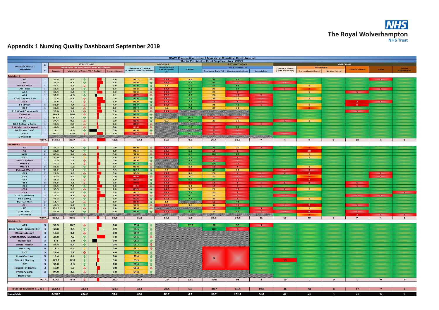

# **Appendix 1 Nursing Quality Dashboard September 2019**

|                                         |                                  |               |                                             |                                   |   |                         |                                                        |                                                                                                                                                                                                                                                                                                                                                                                                                             |                            |                         |                                  | <b>RWT Executive Level Nursing Quality Dashboard</b> |                                                                                                                |                                     |                   |                          |                         |                  |                    |
|-----------------------------------------|----------------------------------|---------------|---------------------------------------------|-----------------------------------|---|-------------------------|--------------------------------------------------------|-----------------------------------------------------------------------------------------------------------------------------------------------------------------------------------------------------------------------------------------------------------------------------------------------------------------------------------------------------------------------------------------------------------------------------|----------------------------|-------------------------|----------------------------------|------------------------------------------------------|----------------------------------------------------------------------------------------------------------------|-------------------------------------|-------------------|--------------------------|-------------------------|------------------|--------------------|
|                                         |                                  |               |                                             | <b>STRUCTURE</b>                  |   |                         | <b>PROCESS</b>                                         |                                                                                                                                                                                                                                                                                                                                                                                                                             |                            |                         | Data Period - End September 2019 | <b>PATIENT VOICE</b>                                 |                                                                                                                |                                     | OUTCOME           |                          |                         |                  |                    |
| <b>Ward/Clinical</b>                    | $\mathbf{D}$<br>$\mathbf{r}$     |               | <b>Workforce - Nursing Whole Time Equit</b> |                                   |   |                         |                                                        |                                                                                                                                                                                                                                                                                                                                                                                                                             | <b>MtalPAC Late</b>        |                         |                                  | FFT (Q1 2018-19)                                     |                                                                                                                |                                     |                   | Falls (Datix)            |                         |                  |                    |
| Location                                | $\mathbf{v}$                     | <b>Budget</b> | Vacancles / Trend / % ~ Budget              |                                   |   | In recruitment          | <b>Mandatory Training</b><br>% - trend from last month |                                                                                                                                                                                                                                                                                                                                                                                                                             | <b>Observations</b><br>(%) | <b>CHPPD</b>            |                                  | Response Rate (%) Recommendations                    | Complaints                                                                                                     | Pressure Ulcers<br>(Datix Reported) | Inc moderate harm | Serious harm             | <b>Cardiac Arrests</b>  | $C-10111$        | MRSA<br>Aggiultion |
|                                         |                                  |               |                                             |                                   |   |                         |                                                        |                                                                                                                                                                                                                                                                                                                                                                                                                             |                            |                         |                                  |                                                      |                                                                                                                |                                     |                   |                          |                         |                  |                    |
| Division 1                              |                                  |               |                                             |                                   |   |                         |                                                        |                                                                                                                                                                                                                                                                                                                                                                                                                             |                            |                         |                                  |                                                      |                                                                                                                |                                     |                   |                          |                         |                  |                    |
| A5<br>A6                                | $\mathbf{1}$<br>$\mathbf{1}$     | 39.4<br>39.5  | 4.8<br>6.2                                  | 介                                 |   | 1.0<br>1.8              | 91.1<br>94.0                                           | $\ddot{\phantom{1}}$                                                                                                                                                                                                                                                                                                                                                                                                        | 23.3<br>48.31              | 5.9<br>6.1              | 94<br>$-46$                      | 46 <sub>z</sub><br>$-40-$                            |                                                                                                                |                                     |                   |                          |                         | $\rightarrow$    |                    |
| <b>Hilton Main</b>                      | $\mathbf{1}$                     | 40.1          | 3.3                                         | 旨<br>٠                            |   | 2.0                     | 97.9                                                   | 音<br>童                                                                                                                                                                                                                                                                                                                                                                                                                      | 7.5                        | 6.2                     | 58                               | $81-$                                                |                                                                                                                |                                     | $\mathbf{I}$      |                          | <b>STERNE</b>           |                  | $\sim$             |
| $A9 - SEU$                              | $\mathbf{I}$                     | 69.6          | 4.3                                         | 音                                 |   | 1.0                     | 91.8                                                   |                                                                                                                                                                                                                                                                                                                                                                                                                             | 49490                      | $7.2^{+}$               | 29                               | 65                                                   |                                                                                                                | $\mathbf{r}$                        |                   | <b>STATE</b>             |                         | $\mathcal{L}$    |                    |
| A12                                     | $\mathbf{1}$                     | 36.9          | 5.2                                         | $\mathbf{r}$                      |   | 0.0                     | 90.8                                                   |                                                                                                                                                                                                                                                                                                                                                                                                                             | 20.6                       | 6.0                     | 23                               | $-8.1$                                               |                                                                                                                |                                     | $\mathbf{1}$      |                          | <b>CONTRACT</b>         |                  |                    |
| A14                                     | $\overline{1}$                   | 37.2          | $-1.3$                                      | 介                                 |   | 1.1                     | 89.7                                                   | 化基基金合                                                                                                                                                                                                                                                                                                                                                                                                                       | 27.0                       | 645                     | 26                               | $-100$                                               | $\overline{\mathbf{r}}$                                                                                        |                                     |                   |                          |                         |                  |                    |
| (C39) Beynon SSU                        | $\mathbf{1}$                     | 27.4          | 44                                          | 县                                 |   | 0.0                     | 97.6                                                   |                                                                                                                                                                                                                                                                                                                                                                                                                             | 13.0                       | 7/4                     | 36                               | 33                                                   | <b>Contract Contract</b>                                                                                       |                                     | $\mathbf{1}$      | -                        |                         |                  |                    |
| A23                                     | $\overline{1}$                   | 23.6          | 5.0                                         | 工                                 |   | 1.0                     | 91.9                                                   |                                                                                                                                                                                                                                                                                                                                                                                                                             | 4944                       | $-2-3$                  | $-18 -$                          | <b>SPA</b>                                           | <b>START OF</b>                                                                                                |                                     |                   |                          | $\overline{\mathbf{z}}$ | $\mathbf{r}$     |                    |
| <b>B8 (CTW)</b><br><b>B14</b>           | $\mathbf{1}$<br>$\overline{1}$   | 50.9<br>61.6  | 4.7<br>6.6                                  | ÷.                                |   | 4.0<br>2.9              | 96.7<br>95.4                                           | 會善                                                                                                                                                                                                                                                                                                                                                                                                                          | 35.4<br>8.2                | $8.5^{\circ}$           | 35<br>37                         | -46<br>31                                            | $\mathbf{r}$                                                                                                   |                                     | $\mathbf{1}$      |                          | $\mathbf{B}$            |                  |                    |
| B15 (Card Day ward)                     | $\mathbf{1}$                     | 30.0          | 3.9                                         | s.<br>县                           |   | 0.0                     | 94.5                                                   |                                                                                                                                                                                                                                                                                                                                                                                                                             | 29.9                       | 543                     |                                  |                                                      |                                                                                                                |                                     |                   |                          | $\mathbf{H}$            |                  |                    |
| <b>Theatres</b>                         | $\mathbf{1}$                     | 294.9         | 16.0                                        |                                   |   | 7.0                     | 95.5                                                   | 一分                                                                                                                                                                                                                                                                                                                                                                                                                          |                            |                         |                                  |                                                      |                                                                                                                |                                     |                   |                          |                         |                  |                    |
| <b>B9(ICCU)</b>                         | $\mathbf{1}$                     | 158.4         | 8.2                                         | 音                                 |   | 7.0                     | 94.0                                                   | $\hat{Y}$                                                                                                                                                                                                                                                                                                                                                                                                                   |                            | 30.6                    | <b>DISTING</b>                   | $-0.0$                                               |                                                                                                                |                                     |                   |                          |                         |                  |                    |
| D7                                      | $\mathbf{1}$                     | 34.4          | 0.5                                         | die.                              |   | 0.0                     | 88.6                                                   | 仓                                                                                                                                                                                                                                                                                                                                                                                                                           | 9.2                        | 749                     | 23                               | 39                                                   |                                                                                                                | <b>START</b>                        | $\mathbf{1}$      |                          |                         |                  |                    |
| <b>D16 Delivery Suite</b>               | $\mathbf{1}$                     | 91.3          | 2.8                                         | $\ddot{\phantom{1}}$              |   | 1.0                     | 88.2                                                   | $\Phi$                                                                                                                                                                                                                                                                                                                                                                                                                      |                            |                         |                                  |                                                      | $\mathbf{H}$                                                                                                   |                                     |                   |                          |                         |                  |                    |
| <b>D10 Maternity Ward</b>               | $\mathbf{1}$                     | 46.3          | 1.6                                         | ÷.                                |   | 5.8                     | 84.6                                                   | 喜會                                                                                                                                                                                                                                                                                                                                                                                                                          |                            | <b>ake</b>              | $-18 -$                          | 450                                                  |                                                                                                                |                                     |                   |                          |                         |                  |                    |
| D9 (Trans Care)                         | $\mathbf{1}$                     | 18.1          | $-3.3$                                      | 音                                 |   | 0.0                     | 94.0                                                   |                                                                                                                                                                                                                                                                                                                                                                                                                             |                            |                         | $-0.001$                         | $-0+$                                                |                                                                                                                |                                     |                   |                          |                         |                  |                    |
| <b>NNU</b><br><b>Divisional</b>         | $\mathbf{T}$                     | 91.2          | 13.9                                        | $\frac{1}{2}$                     |   | 6.0                     | 187.7                                                  | $\frac{1}{2}$                                                                                                                                                                                                                                                                                                                                                                                                               |                            | 18.7                    | <b>HOME</b>                      | $-10$                                                |                                                                                                                | <b>State</b>                        |                   |                          |                         |                  |                    |
|                                         | <b>TOTAL</b>                     | 1190.8        | 86.7                                        | $\frac{d\mathbf{r}}{d\mathbf{r}}$ |   | 41.6                    | 92.4                                                   |                                                                                                                                                                                                                                                                                                                                                                                                                             | 16.9                       | 9.3                     | 28.9                             | 28.9                                                 | $\overline{ }$                                                                                                 | $\overline{a}$                      | $\overline{9}$    | $\alpha$                 | 10                      | $\mathbf{3}$     | $\alpha$           |
|                                         |                                  |               |                                             |                                   |   |                         |                                                        |                                                                                                                                                                                                                                                                                                                                                                                                                             |                            |                         |                                  |                                                      |                                                                                                                |                                     |                   |                          |                         |                  |                    |
| Division 2<br>A7                        | $\overline{2}$                   |               |                                             |                                   |   |                         |                                                        |                                                                                                                                                                                                                                                                                                                                                                                                                             |                            |                         |                                  |                                                      |                                                                                                                |                                     |                   |                          |                         |                  |                    |
| A8                                      | $\mathbf{z}$                     | 39.7<br>39.8  | 2.2<br>0.5                                  | ٠î۳<br>音                          |   | 0.0<br>1.0 <sub>1</sub> | 94.0<br>93.1                                           | ÷.                                                                                                                                                                                                                                                                                                                                                                                                                          | 23.8<br>23.0               | 5.6<br>6.3 <sub>1</sub> | 78<br>1891                       | 20<br><b>DISP</b>                                    | $\mathbf{z}$                                                                                                   |                                     | 10                |                          |                         |                  |                    |
| ASU                                     | $\overline{z}$                   | 65.4          | 5.9.                                        | 事                                 |   | 5.0                     | 92.6                                                   | 香香                                                                                                                                                                                                                                                                                                                                                                                                                          | 29.9                       | 653%                    | 100                              | 62                                                   |                                                                                                                |                                     | $\bullet$         |                          |                         |                  |                    |
| C22                                     | $\overline{z}$                   | 35.6          | 2.4                                         |                                   |   | 1.0                     | 90.5                                                   | 音                                                                                                                                                                                                                                                                                                                                                                                                                           | 23.5                       | 7.91                    | $-1.3 -$                         | - 24                                                 |                                                                                                                |                                     | $\mathbf{1}$      |                          |                         |                  |                    |
| <b>Neuro Rehab</b>                      | $\overline{2}$                   | 21.5          | 1.2                                         | ستقد                              |   | 0.0                     | 91.6                                                   | $\frac{\hat{\mathbf{r}}}{4}$                                                                                                                                                                                                                                                                                                                                                                                                |                            | $\mathbf{6.1}$          | <b>SOME</b>                      | $-6 -$                                               |                                                                                                                |                                     |                   |                          |                         |                  |                    |
| Ward 1                                  | $\overline{z}$                   | 30.2          | 4.1                                         | $\frac{1}{2}$                     |   | 4.0                     | 97.2                                                   |                                                                                                                                                                                                                                                                                                                                                                                                                             |                            | 6.2                     | 100                              | $-16$                                                |                                                                                                                |                                     |                   |                          |                         |                  |                    |
| Ward 2                                  | $\overline{z}$                   | 30.2          | 1.9                                         | 音                                 |   | 0.1                     | 93.8                                                   | 工                                                                                                                                                                                                                                                                                                                                                                                                                           |                            | 5.5                     | 181                              | <b>STARTS</b>                                        |                                                                                                                |                                     | $\mathbf{1}$      |                          |                         |                  |                    |
| <b>Fairoak Ward</b>                     | $\overline{z}$                   | 30.2<br>28.9  | 1.9                                         | 音<br>die.                         |   | 0.9<br>5.6              | 100.0                                                  | 音                                                                                                                                                                                                                                                                                                                                                                                                                           | 9.7                        | 5.4                     | 61<br>26                         | 22<br><b>SALE</b>                                    |                                                                                                                | <b>CONTRACTOR</b><br>$\mathbf{A}$   | <b>CONTRACTOR</b> |                          |                         |                  |                    |
| C15<br>C16                              | $\overline{2}$<br>$\overline{z}$ | 35.3          | 5.0<br>3.6                                  | 音                                 |   | 3.0                     | 93.5<br>84.8                                           | $\hat{\mathbf{r}}$<br>$\frac{1}{2}$                                                                                                                                                                                                                                                                                                                                                                                         | 85.8<br>36.6               | 5.0                     | 23                               | $-10-$                                               | $\frac{1}{2} \left( \frac{1}{2} \right) \left( \frac{1}{2} \right) \left( \frac{1}{2} \right)$<br><b>START</b> |                                     | A.                |                          |                         | $\sim$<br>$\sim$ |                    |
| C17                                     | $\overline{z}$                   | 28.2          | 2.1                                         | л                                 |   | $1.0$                   | 88.2                                                   | $\hat{v}$                                                                                                                                                                                                                                                                                                                                                                                                                   | 32.2                       | 65                      | 50                               | $-18$                                                |                                                                                                                |                                     | $\blacksquare$    |                          |                         |                  |                    |
| C24                                     | $\overline{z}$                   | 36.5          | 4.5                                         | 县                                 |   | 8.0                     | <b>ROM</b>                                             |                                                                                                                                                                                                                                                                                                                                                                                                                             | 34.9                       |                         | 1461                             | <b>STATISTICS</b>                                    | <b>Side of A</b>                                                                                               | <b>START</b>                        | <b>SOFT</b>       |                          | <b>START</b>            |                  |                    |
| C <sub>25</sub>                         | $\overline{2}$                   | 36.5          | 7.4                                         | 音                                 | × | 1.0                     | 83.9                                                   | 分子                                                                                                                                                                                                                                                                                                                                                                                                                          | 38.7                       | 5.1                     | ida.                             | <b>START OF</b>                                      | <b>START OF</b>                                                                                                |                                     |                   |                          | <b>START</b>            |                  |                    |
| C18                                     | $\overline{z}$                   | 35.5          | 3.8                                         | JL.                               |   | 2.0                     | 89.9                                                   |                                                                                                                                                                                                                                                                                                                                                                                                                             | 1848                       | 5.5                     | 21                               | $-100$                                               |                                                                                                                | $\overline{\phantom{a}}$            | $\mathbf{A}$      |                          |                         |                  |                    |
| C19                                     | $\overline{z}$                   | 35.3          | 4.9                                         | 會                                 |   | 5.9                     | 92.7                                                   | $\hat{\mathbf{r}}$                                                                                                                                                                                                                                                                                                                                                                                                          | <b>DOM:</b>                | 7.1                     | 20                               | <b>START OF BUILDING</b>                             |                                                                                                                |                                     |                   |                          |                         |                  | <b>START OF</b>    |
| C35 - Deanesh                           | $\overline{z}$                   | 29.5<br>45.2  | 9.8<br>4.9                                  | $\overline{\mathbf{J}}$           |   | 4.0<br>3.0              | 85.8                                                   | 喜                                                                                                                                                                                                                                                                                                                                                                                                                           | 21.8<br>1241-20            | 6.0<br>7.1              | 22<br>25                         | <b>START OF</b><br>$\overline{a}$                    |                                                                                                                | <b>SALE</b>                         | $-1$              |                          | $\sim$                  | <b>State</b>     |                    |
| <b>B11 (CHU)</b><br><b>Durnall Unit</b> | $\overline{2}$<br>$\mathbf{z}$   | 15.4          | 1.5                                         | 全<br>$-$                          |   | 0.0                     | 87.6<br>86.9                                           |                                                                                                                                                                                                                                                                                                                                                                                                                             | 5.5                        |                         | <b>STAR</b>                      | $-42$                                                |                                                                                                                |                                     |                   |                          |                         |                  |                    |
| C41                                     | $\overline{z}$                   | 47.3          | 3.9                                         | 音                                 |   | 3.0                     | 92.9                                                   | 會<br>$\overline{\phantom{a}}$                                                                                                                                                                                                                                                                                                                                                                                               | 84.61                      | 5.9                     | 30                               | -400                                                 |                                                                                                                | $\mathbf{r}$                        | $\mathbf{z}$      |                          | <b>START</b>            |                  |                    |
| ED.                                     | $\overline{z}$                   | 151.8         | 13.5                                        | $\ddot{\phantom{1}}$              |   | 4.0                     | 92.4                                                   | ÷.                                                                                                                                                                                                                                                                                                                                                                                                                          |                            |                         | into:                            | 1152                                                 | <b>START</b>                                                                                                   |                                     | 1                 |                          |                         |                  |                    |
| (C58) AMU                               | $\overline{2}$                   | 85.9          | 4.9.                                        | 全                                 |   | 7.0                     | $-06.6$                                                | $\mathbf{r}$                                                                                                                                                                                                                                                                                                                                                                                                                | 13.8                       | 3.3                     | 22                               | $-46$                                                | $\rightarrow$                                                                                                  | $\mathbf{r}$                        | $6 -$             |                          | $-1$                    |                  |                    |
| <b>Divisional</b>                       |                                  |               |                                             |                                   |   |                         |                                                        |                                                                                                                                                                                                                                                                                                                                                                                                                             |                            |                         |                                  |                                                      |                                                                                                                |                                     |                   |                          | $\mathbf{z}$            | <b>START</b>     | <b>START STAR</b>  |
|                                         | <b>TOTAL</b>                     | 903.9         | 90.1                                        | $\hat{\mathbf{r}}$                |   | 59.5                    | 91.3                                                   |                                                                                                                                                                                                                                                                                                                                                                                                                             | 25.1                       | 6.2                     | 32.6                             | 69.7                                                 | 11                                                                                                             | 13 <sup>7</sup>                     | 49                | $\mathbf{o}$             | $\overline{z}$          | $\overline{a}$   | $\overline{z}$     |
| <b>Division 3</b>                       |                                  |               |                                             |                                   |   |                         |                                                        |                                                                                                                                                                                                                                                                                                                                                                                                                             |                            |                         |                                  |                                                      |                                                                                                                |                                     |                   |                          |                         |                  |                    |
| A21                                     | 3                                | 91.3          | 16.7                                        | $\ddotmark$                       |   | 8.8                     | 99.8                                                   | 合                                                                                                                                                                                                                                                                                                                                                                                                                           |                            | 12.9                    | 58                               | 98                                                   | $-1$                                                                                                           |                                     |                   |                          |                         |                  |                    |
| <b>Com Paeds-Gem Centre</b>             | $\mathbf{3}$                     | 30.8          | 2.3                                         | 全                                 |   | 0.9                     | 96.5                                                   | $\hat{\mathbf{r}}$                                                                                                                                                                                                                                                                                                                                                                                                          |                            |                         | 208                              | $-4$                                                 |                                                                                                                | -                                   | _                 | $\sim$                   | $\sim$                  | $\sim$           | $\sim$             |
| Rheumatology                            | $\mathbf{B}$                     | 16.3          | 0.1                                         | $\ddot{\phantom{1}}$              |   | 0.0                     | 96.9                                                   | 全                                                                                                                                                                                                                                                                                                                                                                                                                           |                            |                         |                                  |                                                      |                                                                                                                | -                                   |                   | $\overline{\phantom{a}}$ | $\sim$                  |                  |                    |
| <b>Dermatology (CCH&amp;NX)</b>         | $\mathbf{3}$                     | 21.0          | 7.2                                         | 全                                 |   | $1.0$                   | 95.5                                                   | ⊕                                                                                                                                                                                                                                                                                                                                                                                                                           |                            |                         |                                  |                                                      | -                                                                                                              |                                     | _                 | $\sim$                   |                         |                  | $\sim$             |
| <b>Radiology</b>                        | $\overline{\mathbf{3}}$          | 5.4           | $-1.0$                                      | 全                                 |   | 0.0                     | 98.3                                                   | 全                                                                                                                                                                                                                                                                                                                                                                                                                           |                            |                         |                                  |                                                      |                                                                                                                |                                     |                   | $\sim$                   | $\sim$                  |                  | -                  |
| <b>Sexual Health</b>                    | $\mathbf{B}$                     | 35.4          | 0.4                                         | 全                                 |   | 0.4                     | 95.7                                                   | ⊕                                                                                                                                                                                                                                                                                                                                                                                                                           |                            |                         |                                  |                                                      |                                                                                                                |                                     |                   | $\frac{1}{2}$            |                         | $\frac{1}{2}$    |                    |
| <b>Anticoag</b>                         | $\mathbf{B}$                     | 13.7          | 0.7                                         |                                   |   | 0.0                     | 93.7                                                   | $\begin{picture}(20,20) \put(0,0){\dashbox{0.5}(5,0){ }} \thicklines \put(0,0){\dashbox{0.5}(5,0){ }} \thicklines \put(0,0){\dashbox{0.5}(5,0){ }} \thicklines \put(0,0){\dashbox{0.5}(5,0){ }} \thicklines \put(0,0){\dashbox{0.5}(5,0){ }} \thicklines \put(0,0){\dashbox{0.5}(5,0){ }} \thicklines \put(0,0){\dashbox{0.5}(5,0){ }} \thicklines \put(0,0){\dashbox{0.5}(5,0){ }} \thicklines \put(0,0){\dashbox{0.5}(5,$ |                            |                         |                                  |                                                      | -                                                                                                              |                                     |                   | -                        | $\sim$                  | _                | -                  |
| <b>CICT</b>                             | $\mathbf{3}$                     | 24.4          | 2.4                                         | $\ddot{\phantom{1}}$              |   | 4.0                     | 98.4                                                   | 合                                                                                                                                                                                                                                                                                                                                                                                                                           |                            |                         |                                  |                                                      | -                                                                                                              |                                     |                   |                          |                         |                  |                    |
| <b>Com Matrons</b>                      | $\mathbf{3}$                     | 11.4          | 0.7                                         | 个                                 |   | 0.0                     | 93.4                                                   | 企                                                                                                                                                                                                                                                                                                                                                                                                                           |                            |                         |                                  |                                                      | $\sim$                                                                                                         | _                                   | _                 | _                        | -                       | $\sim$           | _                  |
| <b>District Nursing</b>                 | $\mathbf{3}$                     | 129.1         | 12.0                                        | 个                                 |   | 5.6                     | 93.5                                                   |                                                                                                                                                                                                                                                                                                                                                                                                                             |                            |                         |                                  |                                                      |                                                                                                                | 19                                  |                   | $\overline{\phantom{a}}$ | -                       |                  | -                  |
|                                         | $\mathbf{B}$                     |               |                                             |                                   |   |                         |                                                        | 个                                                                                                                                                                                                                                                                                                                                                                                                                           |                            |                         |                                  |                                                      | ـ                                                                                                              |                                     |                   |                          |                         | -                |                    |
| <b>RIT</b>                              |                                  | 31.0          | $-1.3$                                      | 全                                 |   | 0.0                     | 98.4                                                   | 企                                                                                                                                                                                                                                                                                                                                                                                                                           |                            |                         |                                  |                                                      |                                                                                                                |                                     |                   |                          |                         |                  |                    |
| <b>Hospital at Home</b>                 | $\mathbf{3}$                     | 13.9          | 1.6                                         | ÷                                 |   | 0.0                     | 91.2                                                   | $\ddot{\phantom{1}}$                                                                                                                                                                                                                                                                                                                                                                                                        |                            |                         |                                  |                                                      |                                                                                                                |                                     |                   | -                        |                         |                  | -                  |
| <b>Primary Care</b>                     | $\mathbf{3}$                     | 94.0          | 3.7                                         | ÷                                 |   | 1.0                     | 94.8                                                   | 企                                                                                                                                                                                                                                                                                                                                                                                                                           |                            |                         |                                  |                                                      |                                                                                                                |                                     |                   |                          |                         |                  |                    |
| <b>Divisional</b>                       |                                  |               |                                             |                                   |   |                         |                                                        |                                                                                                                                                                                                                                                                                                                                                                                                                             |                            |                         |                                  |                                                      |                                                                                                                |                                     |                   |                          |                         |                  |                    |
|                                         | <b>TOTAL</b>                     | 517.7         | 45.4                                        | $\ddot{\phantom{1}}$              |   | 21.7                    | 95.8                                                   |                                                                                                                                                                                                                                                                                                                                                                                                                             | 0.0                        | 12.9                    | 30.5                             | 98                                                   | $\mathbf{1}$                                                                                                   | 19                                  | $\bullet$         | $\bullet$                | $\bullet$               | $\bullet$        | $\mathbf{0}$       |
|                                         |                                  |               |                                             |                                   |   |                         |                                                        |                                                                                                                                                                                                                                                                                                                                                                                                                             |                            |                         |                                  |                                                      |                                                                                                                |                                     |                   |                          |                         |                  |                    |
| Total for Divisions 1, 2 & 3            |                                  | 2612.3        |                                             | 222.2                             |   | 122.8                   | 93.1                                                   |                                                                                                                                                                                                                                                                                                                                                                                                                             | 23.4                       | 6.9                     | 38.7                             | 65.5                                                 | 19.0                                                                                                           |                                     |                   |                          | 17                      |                  |                    |
|                                         |                                  |               |                                             |                                   |   |                         |                                                        |                                                                                                                                                                                                                                                                                                                                                                                                                             |                            |                         |                                  |                                                      |                                                                                                                |                                     |                   |                          |                         |                  |                    |
| Auaust data                             |                                  | 2460.7        |                                             | 242.3                             |   | 84.4                    | 93.3                                                   |                                                                                                                                                                                                                                                                                                                                                                                                                             | 22.9                       | 6.9                     | 36.5                             | 171.5                                                | 14.0                                                                                                           | 42                                  | 43                | $\sqrt{2}$               | 13                      | 12 <sup>2</sup>  |                    |